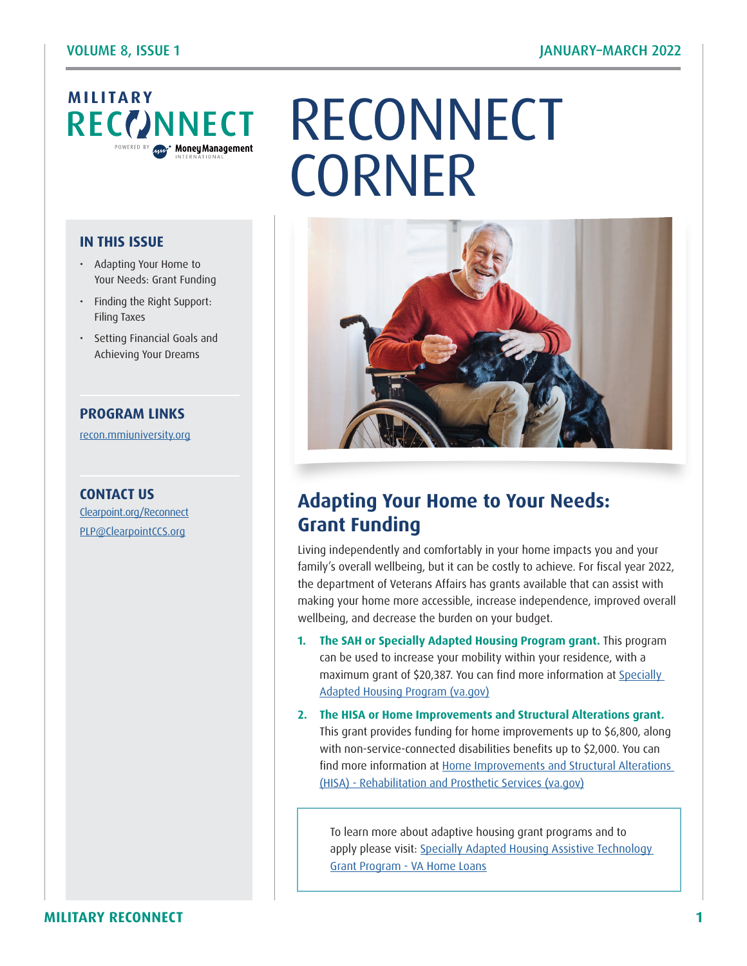

#### **IN THIS ISSUE**

- Adapting Your Home to Your Needs: Grant Funding
- Finding the Right Support: Filing Taxes
- Setting Financial Goals and Achieving Your Dreams

#### **PROGRAM LINKS**

[recon.mmiuniversity.org](https://recon.mmiuniversity.org/login/index.php)

**CONTACT US** C[learpoint.org/Reconnect](http://www.clearpoint.org/reconnect) PLP[@ClearpointCCS.org](mailto:plp%40clearpointccs.org?subject=)

# RECONNECT **CORNER**



# **Adapting Your Home to Your Needs: Grant Funding**

Living independently and comfortably in your home impacts you and your family's overall wellbeing, but it can be costly to achieve. For fiscal year 2022, the department of Veterans Affairs has grants available that can assist with making your home more accessible, increase independence, improved overall wellbeing, and decrease the burden on your budget.

- **1. The SAH or Specially Adapted Housing Program grant.** This program can be used to increase your mobility within your residence, with a maximum grant of \$20,387. You can find more information at Specially [Adapted Housing Program \(va.gov\)](https://www.benefits.va.gov/BENEFITS/factsheets/homeloans/SAHFactsheet.pdf) **1**
- **2. The HISA or Home Improvements and Structural Alterations grant.** This grant provides funding for home improvements up to \$6,800, along with non-service-connected disabilities benefits up to \$2,000. You can find more information at [Home Improvements and Structural Alterations](https://www.prosthetics.va.gov/psas/HISA2.asp)  [\(HISA\) - Rehabilitation and Prosthetic Services \(va.gov\)](https://www.prosthetics.va.gov/psas/HISA2.asp)

To learn more about adaptive housing grant programs and to apply please visit: [Specially Adapted Housing Assistive Technology](https://www.benefits.va.gov/homeloans/sahat.asp)  [Grant Program - VA Home Loans](https://www.benefits.va.gov/homeloans/sahat.asp)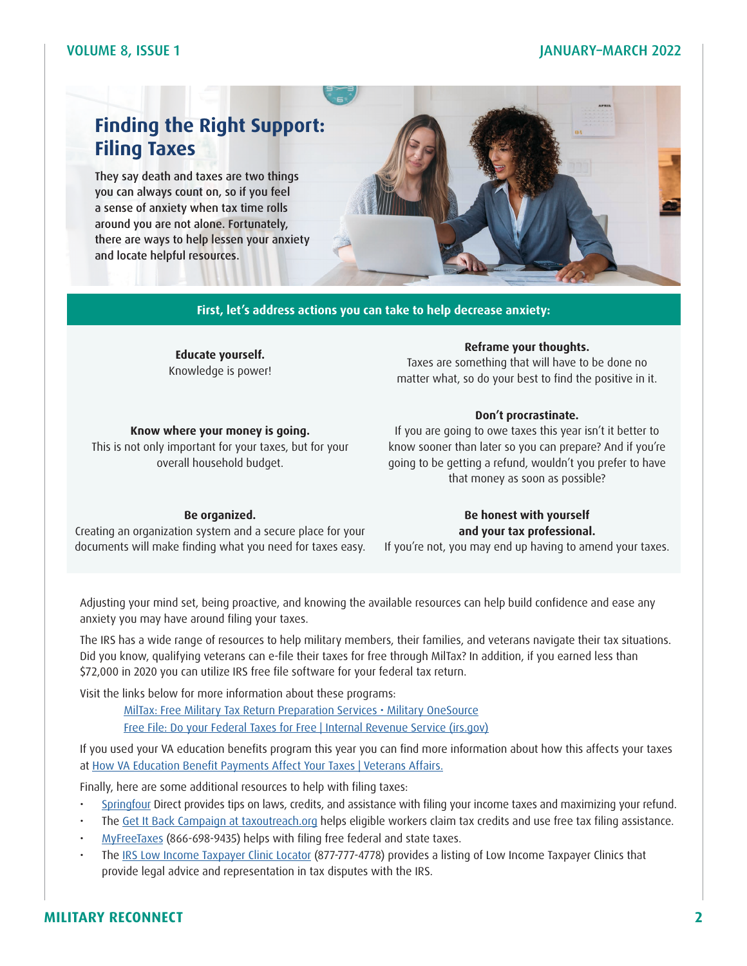#### VOLUME 8, ISSUE 1 JANUARY–MARCH 2022

# **Finding the Right Support: Filing Taxes**

They say death and taxes are two things you can always count on, so if you feel a sense of anxiety when tax time rolls around you are not alone. Fortunately, there are ways to help lessen your anxiety and locate helpful resources.



**First, let's address actions you can take to help decrease anxiety:**

**Educate yourself.**  Knowledge is power!

**Know where your money is going.**  This is not only important for your taxes, but for your overall household budget.

**Reframe your thoughts.** 

Taxes are something that will have to be done no matter what, so do your best to find the positive in it.

#### **Don't procrastinate.**

If you are going to owe taxes this year isn't it better to know sooner than later so you can prepare? And if you're going to be getting a refund, wouldn't you prefer to have that money as soon as possible?

#### **Be organized.**

Creating an organization system and a secure place for your documents will make finding what you need for taxes easy.

#### **Be honest with yourself and your tax professional.**

If you're not, you may end up having to amend your taxes.

Adjusting your mind set, being proactive, and knowing the available resources can help build confidence and ease any anxiety you may have around filing your taxes.

The IRS has a wide range of resources to help military members, their families, and veterans navigate their tax situations. Did you know, qualifying veterans can e-file their taxes for free through MilTax? In addition, if you earned less than \$72,000 in 2020 you can utilize IRS free file software for your federal tax return.

Visit the links below for more information about these programs:

[MilTax: Free Military Tax Return Preparation Services • Military OneSource](https://www.militaryonesource.mil/financial-legal/tax-resource-center/miltax-military-tax-services/) [Free File: Do your Federal Taxes for Free | Internal Revenue Service \(irs.gov\)](https://www.irs.gov/filing/free-file-do-your-federal-taxes-for-free)

If you used your VA education benefits program this year you can find more information about how this affects your taxes at [How VA Education Benefit Payments Affect Your Taxes | Veterans Affairs.](https://www.va.gov/resources/how-va-education-benefit-payments-affect-your-taxes/)

Finally, here are some additional resources to help with filing taxes:

- [Springfour](https://springfourdirect.com/document/Income_Taxes.pdf) Direct provides tips on laws, credits, and assistance with filing your income taxes and maximizing your refund.
- The [Get It Back Campaign at taxoutreach.org](https://www.taxoutreach.org/) helps eligible workers claim tax credits and use free tax filing assistance.
- [MyFreeTaxes](https://myfreetaxes.com/) (866-698-9435) helps with filing free federal and state taxes.
- The [IRS Low Income Taxpayer Clinic Locator](https://www.irs.gov/advocate/low-income-taxpayer-clinics/low-income-taxpayer-clinic-map) (877-777-4778) provides a listing of Low Income Taxpayer Clinics that provide legal advice and representation in tax disputes with the IRS.

#### **MILITARY RECONNECT 2**